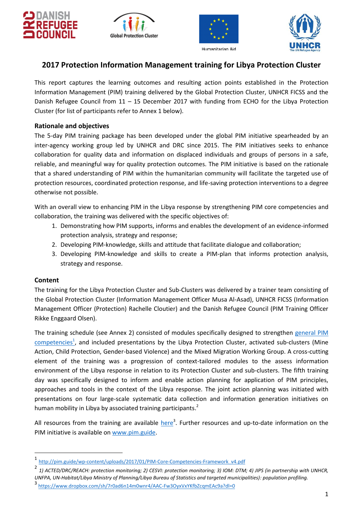







# **2017 Protection Information Management training for Libya Protection Cluster**

This report captures the learning outcomes and resulting action points established in the Protection Information Management (PIM) training delivered by the Global Protection Cluster, UNHCR FICSS and the Danish Refugee Council from 11 – 15 December 2017 with funding from ECHO for the Libya Protection Cluster (for list of participants refer to Annex 1 below).

### **Rationale and objectives**

The 5-day PIM training package has been developed under the global PIM initiative spearheaded by an inter-agency working group led by UNHCR and DRC since 2015. The PIM initiatives seeks to enhance collaboration for quality data and information on displaced individuals and groups of persons in a safe, reliable, and meaningful way for quality protection outcomes. The PIM initiative is based on the rationale that a shared understanding of PIM within the humanitarian community will facilitate the targeted use of protection resources, coordinated protection response, and life-saving protection interventions to a degree otherwise not possible.

With an overall view to enhancing PIM in the Libya response by strengthening PIM core competencies and collaboration, the training was delivered with the specific objectives of:

- 1. Demonstrating how PIM supports, informs and enables the development of an evidence-informed protection analysis, strategy and response;
- 2. Developing PIM-knowledge, skills and attitude that facilitate dialogue and collaboration;
- 3. Developing PIM-knowledge and skills to create a PIM-plan that informs protection analysis, strategy and response.

#### **Content**

 $\overline{a}$ 

The training for the Libya Protection Cluster and Sub-Clusters was delivered by a trainer team consisting of the Global Protection Cluster (Information Management Officer Musa Al-Asad), UNHCR FICSS (Information Management Officer (Protection) Rachelle Cloutier) and the Danish Refugee Council (PIM Training Officer Rikke Enggaard Olsen).

The training schedule (see Annex 2) consisted of modules specifically designed to strengthen [general PIM](http://pim.guide/wp-content/uploads/2017/01/PIM-Core-Competencies-Framework_v4.pdf)  [competencies](http://pim.guide/wp-content/uploads/2017/01/PIM-Core-Competencies-Framework_v4.pdf)<sup>1</sup>, and included presentations by the Libya Protection Cluster, activated sub-clusters (Mine Action, Child Protection, Gender-based Violence) and the Mixed Migration Working Group. A cross-cutting element of the training was a progression of context-tailored modules to the assess information environment of the Libya response in relation to its Protection Cluster and sub-clusters. The fifth training day was specifically designed to inform and enable action planning for application of PIM principles, approaches and tools in the context of the Libya response. The joint action planning was initiated with presentations on four large-scale systematic data collection and information generation initiatives on human mobility in Libya by associated training participants.<sup>2</sup>

All resources from the training are available here<sup>3</sup>. Further resources and up-to-date information on the PIM initiative is available on [www.pim.guide.](http://www.pim.guide/)

<sup>1</sup> [http://pim.guide/wp-content/uploads/2017/01/PIM-Core-Competencies-Framework\\_v4.pdf](http://pim.guide/wp-content/uploads/2017/01/PIM-Core-Competencies-Framework_v4.pdf)

<sup>2</sup> *1) ACTED/DRC/REACH: protection monitoring; 2) CESVI: protection monitoring; 3) IOM: DTM; 4) JIPS (in partnership with UNHCR, UNFPA, UN-Habitat/Libya Ministry of Planning/Libya Bureau of Statistics and targeted municipalities): population profiling.*

<sup>3</sup> <https://www.dropbox.com/sh/7r0ad6n14m0wnr4/AAC-Fw3OyxVxYKfbZcqmEAc9a?dl=0>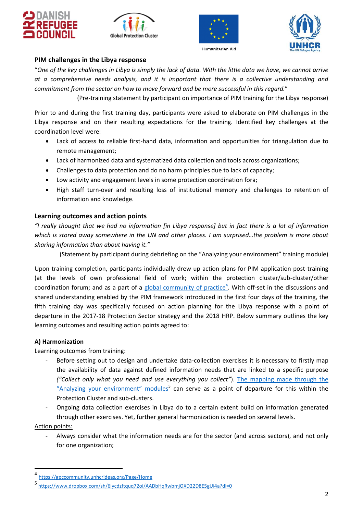







### **PIM challenges in the Libya response**

"*One of the key challenges in Libya is simply the lack of data. With the little data we have, we cannot arrive at a comprehensive needs analysis, and it is important that there is a collective understanding and commitment from the sector on how to move forward and be more successful in this regard.*"

(Pre-training statement by participant on importance of PIM training for the Libya response)

Prior to and during the first training day, participants were asked to elaborate on PIM challenges in the Libya response and on their resulting expectations for the training. Identified key challenges at the coordination level were:

- Lack of access to reliable first-hand data, information and opportunities for triangulation due to remote management;
- Lack of harmonized data and systematized data collection and tools across organizations;
- Challenges to data protection and do no harm principles due to lack of capacity;
- Low activity and engagement levels in some protection coordination fora;
- High staff turn-over and resulting loss of institutional memory and challenges to retention of information and knowledge.

### **Learning outcomes and action points**

*"I really thought that we had no information [in Libya response] but in fact there is a lot of information which is stored away somewhere in the UN and other places. I am surprised…the problem is more about sharing information than about having it."*

(Statement by participant during debriefing on the "Analyzing your environment" training module)

Upon training completion, participants individually drew up action plans for PIM application post-training (at the levels of own professional field of work; within the protection cluster/sub-cluster/other coordination forum; and as a part of a [global community of practice](https://gpccommunity.unhcrideas.org/Page/Home)<sup>4</sup>. With off-set in the discussions and shared understanding enabled by the PIM framework introduced in the first four days of the training, the fifth training day was specifically focused on action planning for the Libya response with a point of departure in the 2017-18 Protection Sector strategy and the 2018 HRP. Below summary outlines the key learning outcomes and resulting action points agreed to:

### **A) Harmonization**

### Learning outcomes from training:

- Before setting out to design and undertake data-collection exercises it is necessary to firstly map the availability of data against defined information needs that are linked to a specific purpose *("Collect only what you need and use everything you collect"*). The [mapping made through the](https://www.dropbox.com/sh/6iycdzftquq72oi/AADbHqRwbmjOXD22D8E5gUi4a?dl=0)  ["Analyzing your environment" modules](https://www.dropbox.com/sh/6iycdzftquq72oi/AADbHqRwbmjOXD22D8E5gUi4a?dl=0)<sup>5</sup> can serve as a point of departure for this within the Protection Cluster and sub-clusters.
- Ongoing data collection exercises in Libya do to a certain extent build on information generated through other exercises. Yet, further general harmonization is needed on several levels.

Action points:

 $\overline{a}$ 

Always consider what the information needs are for the sector (and across sectors), and not only for one organization;

<sup>4</sup> <https://gpccommunity.unhcrideas.org/Page/Home>

<sup>5</sup> <https://www.dropbox.com/sh/6iycdzftquq72oi/AADbHqRwbmjOXD22D8E5gUi4a?dl=0>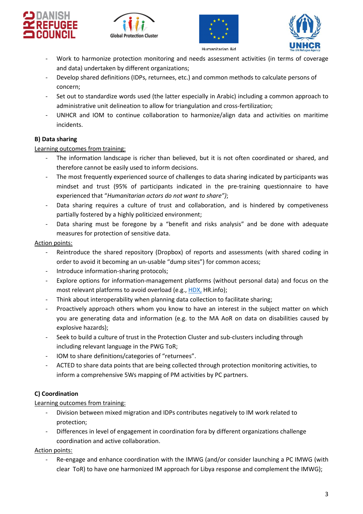







- Work to harmonize protection monitoring and needs assessment activities (in terms of coverage and data) undertaken by different organizations;
- Develop shared definitions (IDPs, returnees, etc.) and common methods to calculate persons of concern;
- Set out to standardize words used (the latter especially in Arabic) including a common approach to administrative unit delineation to allow for triangulation and cross-fertilization;
- UNHCR and IOM to continue collaboration to harmonize/align data and activities on maritime incidents.

# **B) Data sharing**

### Learning outcomes from training:

- The information landscape is richer than believed, but it is not often coordinated or shared, and therefore cannot be easily used to inform decisions.
- The most frequently experienced source of challenges to data sharing indicated by participants was mindset and trust (95% of participants indicated in the pre-training questionnaire to have experienced that "*Humanitarian actors do not want to share")*;
- Data sharing requires a culture of trust and collaboration, and is hindered by competiveness partially fostered by a highly politicized environment;
- Data sharing must be foregone by a "benefit and risks analysis" and be done with adequate measures for protection of sensitive data.

### Action points:

- Reintroduce the shared repository (Dropbox) of reports and assessments (with shared coding in order to avoid it becoming an un-usable "dump sites") for common access;
- Introduce information-sharing protocols;
- Explore options for information-management platforms (without personal data) and focus on the most relevant platforms to avoid overload (e.g.[, HDX,](https://data.humdata.org/) HR.info);
- Think about interoperability when planning data collection to facilitate sharing;
- Proactively approach others whom you know to have an interest in the subject matter on which you are generating data and information (e.g. to the MA AoR on data on disabilities caused by explosive hazards);
- Seek to build a culture of trust in the Protection Cluster and sub-clusters including through including relevant language in the PWG ToR;
- IOM to share definitions/categories of "returnees".
- ACTED to share data points that are being collected through protection monitoring activities, to inform a comprehensive 5Ws mapping of PM activities by PC partners.

# **C) Coordination**

### Learning outcomes from training:

- Division between mixed migration and IDPs contributes negatively to IM work related to protection;
- Differences in level of engagement in coordination fora by different organizations challenge coordination and active collaboration.

Action points:

Re-engage and enhance coordination with the IMWG (and/or consider launching a PC IMWG (with clear ToR) to have one harmonized IM approach for Libya response and complement the IMWG);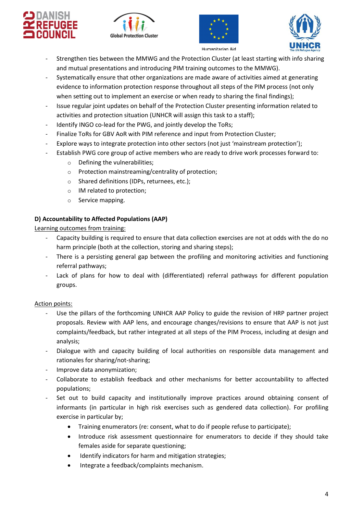







- Strengthen ties between the MMWG and the Protection Cluster (at least starting with info sharing and mutual presentations and introducing PIM training outcomes to the MMWG).
- Systematically ensure that other organizations are made aware of activities aimed at generating evidence to information protection response throughout all steps of the PIM process (not only when setting out to implement an exercise or when ready to sharing the final findings);
- Issue regular joint updates on behalf of the Protection Cluster presenting information related to activities and protection situation (UNHCR will assign this task to a staff);
- Identify INGO co-lead for the PWG, and jointly develop the ToRs;
- Finalize ToRs for GBV AoR with PIM reference and input from Protection Cluster;
- Explore ways to integrate protection into other sectors (not just 'mainstream protection');
- Establish PWG core group of active members who are ready to drive work processes forward to:
	- o Defining the vulnerabilities;
	- o Protection mainstreaming/centrality of protection;
	- o Shared definitions (IDPs, returnees, etc.);
	- o IM related to protection;
	- o Service mapping.

# **D) Accountability to Affected Populations (AAP)**

Learning outcomes from training:

- Capacity building is required to ensure that data collection exercises are not at odds with the do no harm principle (both at the collection, storing and sharing steps);
- There is a persisting general gap between the profiling and monitoring activities and functioning referral pathways;
- Lack of plans for how to deal with (differentiated) referral pathways for different population groups.

# Action points:

- Use the pillars of the forthcoming UNHCR AAP Policy to guide the revision of HRP partner project proposals. Review with AAP lens, and encourage changes/revisions to ensure that AAP is not just complaints/feedback, but rather integrated at all steps of the PIM Process, including at design and analysis;
- Dialogue with and capacity building of local authorities on responsible data management and rationales for sharing/not-sharing;
- Improve data anonymization;
- Collaborate to establish feedback and other mechanisms for better accountability to affected populations;
- Set out to build capacity and institutionally improve practices around obtaining consent of informants (in particular in high risk exercises such as gendered data collection). For profiling exercise in particular by;
	- Training enumerators (re: consent, what to do if people refuse to participate);
	- Introduce risk assessment questionnaire for enumerators to decide if they should take females aside for separate questioning;
	- Identify indicators for harm and mitigation strategies;
	- Integrate a feedback/complaints mechanism.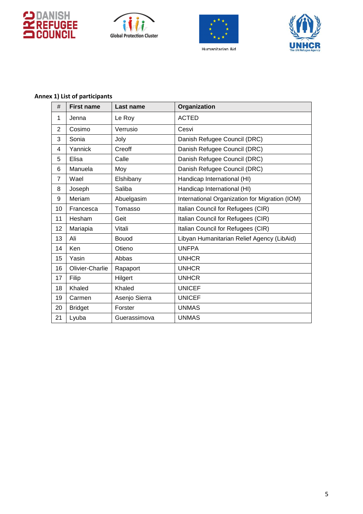







#### **Annex 1) List of participants**

| #              | <b>First name</b> | Last name     | Organization                                   |  |
|----------------|-------------------|---------------|------------------------------------------------|--|
| 1              | Jenna             | Le Roy        | <b>ACTED</b>                                   |  |
| $\overline{2}$ | Cosimo            | Verrusio      | Cesvi                                          |  |
| 3              | Sonia             | Joly          | Danish Refugee Council (DRC)                   |  |
| 4              | Yannick           | Creoff        | Danish Refugee Council (DRC)                   |  |
| 5              | Elisa             | Calle         | Danish Refugee Council (DRC)                   |  |
| 6              | Manuela           | Moy           | Danish Refugee Council (DRC)                   |  |
| $\overline{7}$ | Wael              | Elshibany     | Handicap International (HI)                    |  |
| 8              | Joseph            | Saliba        | Handicap International (HI)                    |  |
| 9              | Meriam            | Abuelgasim    | International Organization for Migration (IOM) |  |
| 10             | Francesca         | Tomasso       | Italian Council for Refugees (CIR)             |  |
| 11             | Hesham            | Geit          | Italian Council for Refugees (CIR)             |  |
| 12             | Mariapia          | Vitali        | Italian Council for Refugees (CIR)             |  |
| 13             | Ali               | <b>Bouod</b>  | Libyan Humanitarian Relief Agency (LibAid)     |  |
| 14             | <b>Ken</b>        | Otieno        | <b>UNFPA</b>                                   |  |
| 15             | Yasin             | Abbas         | <b>UNHCR</b>                                   |  |
| 16             | Olivier-Charlie   | Rapaport      | <b>UNHCR</b>                                   |  |
| 17             | Filip             | Hilgert       | <b>UNHCR</b>                                   |  |
| 18             | Khaled            | Khaled        | <b>UNICEF</b>                                  |  |
| 19             | Carmen            | Asenjo Sierra | <b>UNICEF</b>                                  |  |
| 20             | <b>Bridget</b>    | Forster       | <b>UNMAS</b>                                   |  |
| 21             | Lyuba             | Guerassimova  | <b>UNMAS</b>                                   |  |